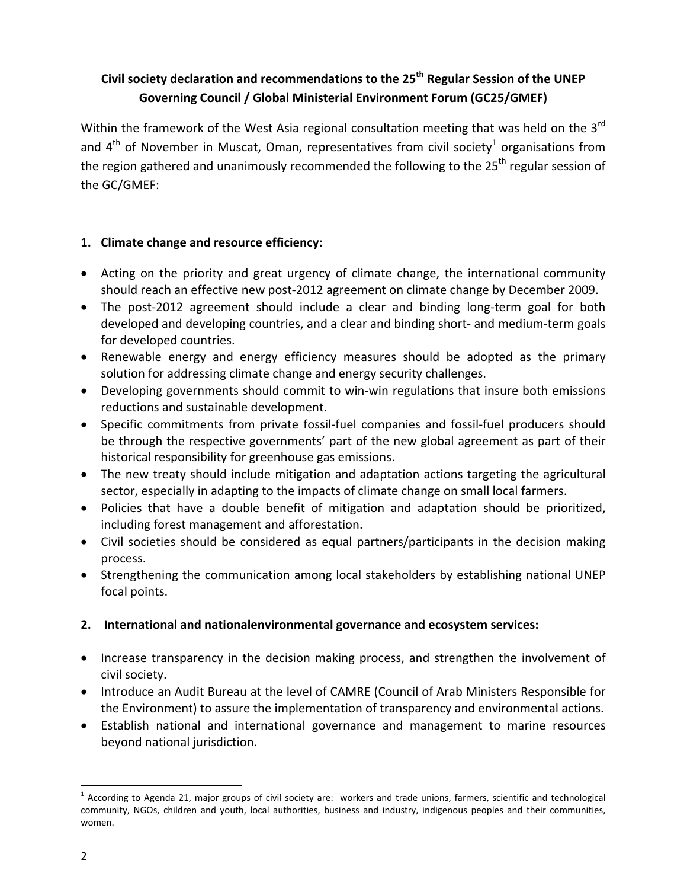## **Civil society declaration and recommendations to the 25th Regular Session of the UNEP Governing Council / Global Ministerial Environment Forum (GC25/GMEF)**

Within the framework of the West Asia regional consultation meeting that was held on the  $3^{rd}$ and  $4<sup>th</sup>$  of November in Muscat, Oman, representatives from civil society<sup>1</sup> organisations from the region gathered and unanimously recommended the following to the  $25<sup>th</sup>$  regular session of the GC/GMEF:

## **1. Climate change and resource efficiency:**

- Acting on the priority and great urgency of climate change, the international community should reach an effective new post‐2012 agreement on climate change by December 2009.
- The post-2012 agreement should include a clear and binding long-term goal for both developed and developing countries, and a clear and binding short‐ and medium‐term goals for developed countries.
- Renewable energy and energy efficiency measures should be adopted as the primary solution for addressing climate change and energy security challenges.
- Developing governments should commit to win-win regulations that insure both emissions reductions and sustainable development.
- Specific commitments from private fossil-fuel companies and fossil-fuel producers should be through the respective governments' part of the new global agreement as part of their historical responsibility for greenhouse gas emissions.
- The new treaty should include mitigation and adaptation actions targeting the agricultural sector, especially in adapting to the impacts of climate change on small local farmers.
- Policies that have a double benefit of mitigation and adaptation should be prioritized, including forest management and afforestation.
- Civil societies should be considered as equal partners/participants in the decision making process.
- Strengthening the communication among local stakeholders by establishing national UNEP focal points.

## **2. International and nationalenvironmental governance and ecosystem services:**

- Increase transparency in the decision making process, and strengthen the involvement of civil society.
- Introduce an Audit Bureau at the level of CAMRE (Council of Arab Ministers Responsible for the Environment) to assure the implementation of transparency and environmental actions.
- Establish national and international governance and management to marine resources beyond national jurisdiction.

 $1$  According to Agenda 21, major groups of civil society are: workers and trade unions, farmers, scientific and technological community, NGOs, children and youth, local authorities, business and industry, indigenous peoples and their communities, women.